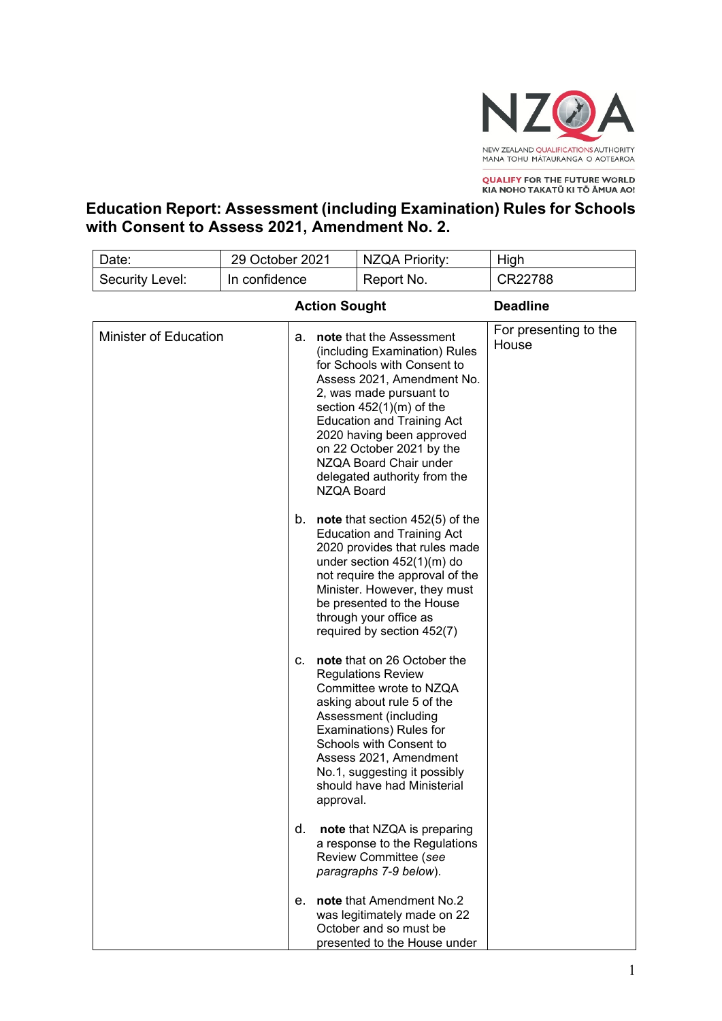

**QUALIFY FOR THE FUTURE WORLD<br>KIA NOHO TAKATŪ KI TŌ ĀMUA AO!** 

**Education Report: Assessment (including Examination) Rules for Schools with Consent to Assess 2021, Amendment No. 2.** 

| Date:                        | 29 October 2021 |                         | <b>NZQA Priority:</b>                                                                                                                                                                                                                                                                                                                    | High                           |
|------------------------------|-----------------|-------------------------|------------------------------------------------------------------------------------------------------------------------------------------------------------------------------------------------------------------------------------------------------------------------------------------------------------------------------------------|--------------------------------|
| Security Level:              | In confidence   |                         | Report No.                                                                                                                                                                                                                                                                                                                               | CR22788                        |
| <b>Action Sought</b>         |                 |                         | <b>Deadline</b>                                                                                                                                                                                                                                                                                                                          |                                |
| <b>Minister of Education</b> |                 | а.<br><b>NZQA Board</b> | note that the Assessment<br>(including Examination) Rules<br>for Schools with Consent to<br>Assess 2021, Amendment No.<br>2, was made pursuant to<br>section $452(1)(m)$ of the<br><b>Education and Training Act</b><br>2020 having been approved<br>on 22 October 2021 by the<br>NZQA Board Chair under<br>delegated authority from the | For presenting to the<br>House |
|                              |                 |                         | b. <b>note</b> that section $452(5)$ of the<br><b>Education and Training Act</b><br>2020 provides that rules made<br>under section $452(1)(m)$ do<br>not require the approval of the<br>Minister. However, they must<br>be presented to the House<br>through your office as<br>required by section 452(7)                                |                                |
|                              |                 | C.<br>approval.         | note that on 26 October the<br><b>Regulations Review</b><br>Committee wrote to NZQA<br>asking about rule 5 of the<br>Assessment (including<br>Examinations) Rules for<br>Schools with Consent to<br>Assess 2021, Amendment<br>No.1, suggesting it possibly<br>should have had Ministerial                                                |                                |
|                              |                 | d.                      | note that NZQA is preparing<br>a response to the Regulations<br>Review Committee (see<br>paragraphs 7-9 below).                                                                                                                                                                                                                          |                                |
|                              |                 | е.                      | note that Amendment No.2<br>was legitimately made on 22<br>October and so must be<br>presented to the House under                                                                                                                                                                                                                        |                                |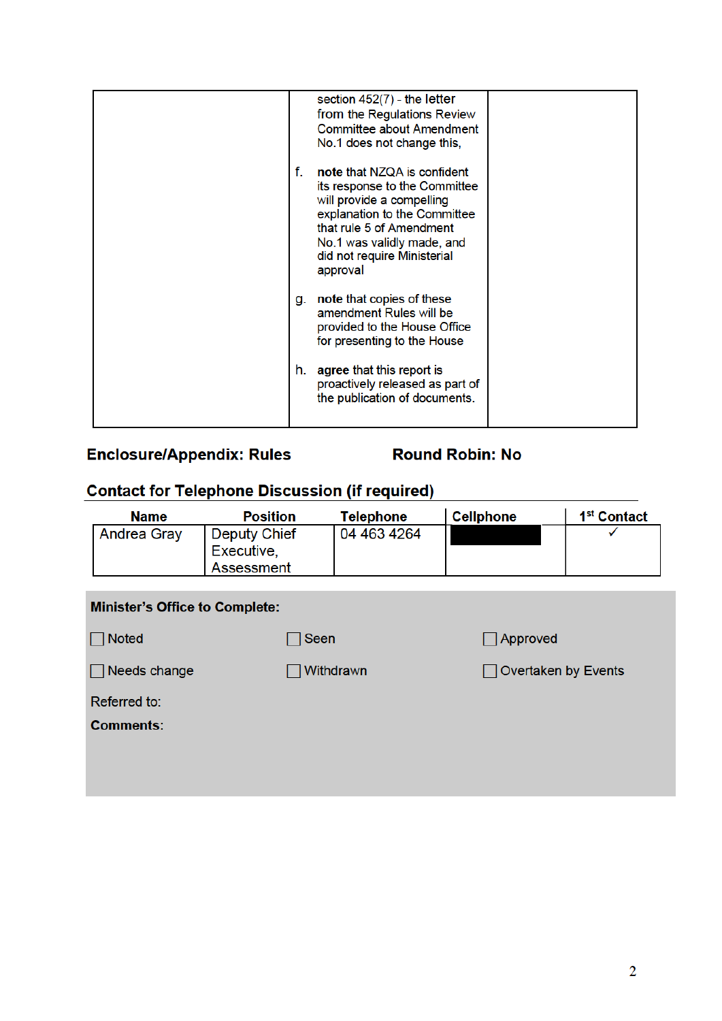|    | section $452(7)$ - the letter<br>from the Regulations Review<br><b>Committee about Amendment</b><br>No.1 does not change this,                                                                                                 |  |
|----|--------------------------------------------------------------------------------------------------------------------------------------------------------------------------------------------------------------------------------|--|
| f. | note that NZQA is confident<br>its response to the Committee<br>will provide a compelling<br>explanation to the Committee<br>that rule 5 of Amendment<br>No.1 was validly made, and<br>did not require Ministerial<br>approval |  |
| g. | note that copies of these<br>amendment Rules will be<br>provided to the House Office<br>for presenting to the House                                                                                                            |  |
| h. | agree that this report is<br>proactively released as part of<br>the publication of documents.                                                                                                                                  |  |

# **Enclosure/Appendix: Rules**

## **Round Robin: No**

# **Contact for Telephone Discussion (if required)**

| <b>Name</b>        | <b>Position</b>                          | Telephone   | <b>Cellphone</b> | 1 <sup>st</sup> Contact |
|--------------------|------------------------------------------|-------------|------------------|-------------------------|
| <b>Andrea Gray</b> | Deputy Chief<br>Executive,<br>Assessment | 04 463 4264 |                  |                         |

| <b>Minister's Office to Complete:</b> |           |                            |  |  |  |  |
|---------------------------------------|-----------|----------------------------|--|--|--|--|
| Noted<br>$\mathbf{1}$                 | ∏Seen     | $\Box$ Approved            |  |  |  |  |
| $\Box$ Needs change                   | Withdrawn | $\Box$ Overtaken by Events |  |  |  |  |
| Referred to:<br><b>Comments:</b>      |           |                            |  |  |  |  |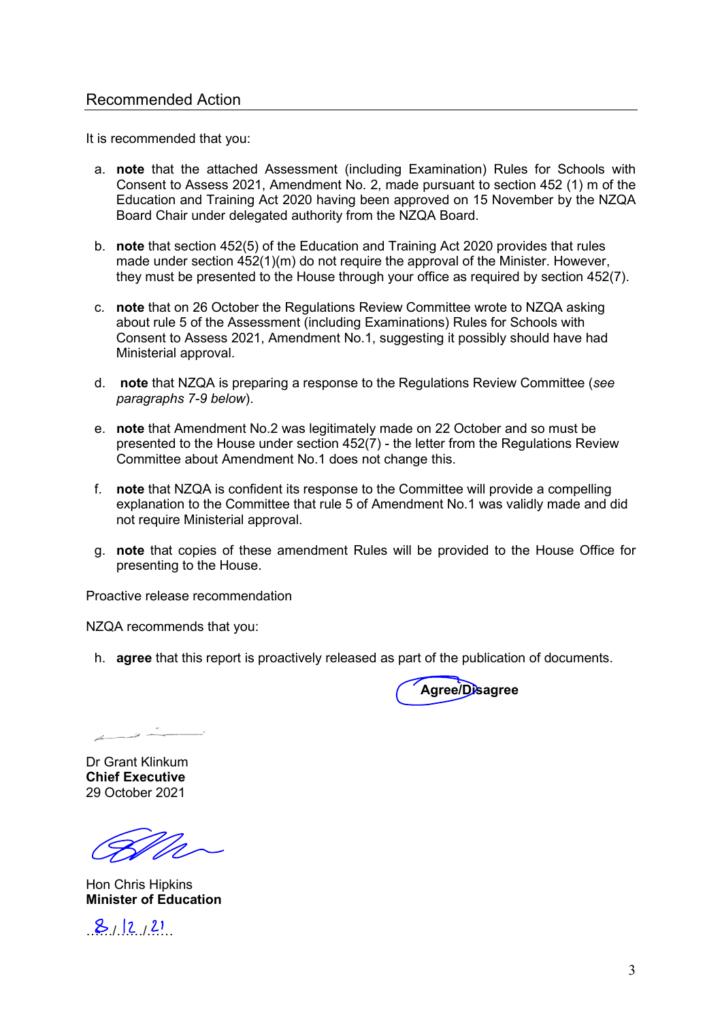#### Recommended Action

It is recommended that you:

- a. **note** that the attached Assessment (including Examination) Rules for Schools with Consent to Assess 2021, Amendment No. 2, made pursuant to section 452 (1) m of the Education and Training Act 2020 having been approved on 15 November by the NZQA Board Chair under delegated authority from the NZQA Board.
- b. **note** that section 452(5) of the Education and Training Act 2020 provides that rules made under section 452(1)(m) do not require the approval of the Minister. However, they must be presented to the House through your office as required by section 452(7).
- c. **note** that on 26 October the Regulations Review Committee wrote to NZQA asking about rule 5 of the Assessment (including Examinations) Rules for Schools with Consent to Assess 2021, Amendment No.1, suggesting it possibly should have had Ministerial approval.
- d. **note** that NZQA is preparing a response to the Regulations Review Committee (*see paragraphs 7-9 below*).
- e. **note** that Amendment No.2 was legitimately made on 22 October and so must be presented to the House under section  $452(7)$  - the letter from the Regulations Review Committee about Amendment No.1 does not change this.
- f. **note** that NZQA is confident its response to the Committee will provide a compelling explanation to the Committee that rule 5 of Amendment No.1 was validly made and did not require Ministerial approval.
- g. **note** that copies of these amendment Rules will be provided to the House Office for presenting to the House.

Proactive release recommendation

NZQA recommends that you:

h. **agree** that this report is proactively released as part of the publication of documents.

**Agree/Disagree**

 $\rightarrow$ 

Dr Grant Klinkum **Chief Executive**  29 October 2021

Hon Chris Hipkins **Minister of Education** 

 $8/2/21$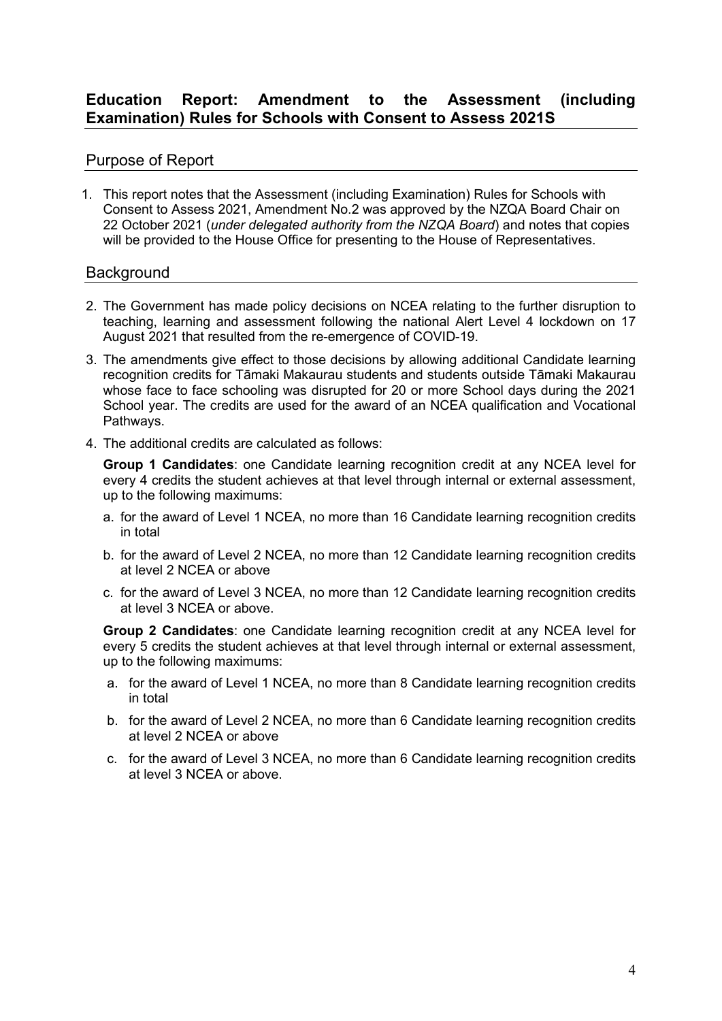### **Education Report: Amendment to the Assessment (including Examination) Rules for Schools with Consent to Assess 2021S**

### Purpose of Report

1. This report notes that the Assessment (including Examination) Rules for Schools with Consent to Assess 2021, Amendment No.2 was approved by the NZQA Board Chair on 22 October 2021 (*under delegated authority from the NZQA Board*) and notes that copies will be provided to the House Office for presenting to the House of Representatives.

#### **Background**

- 2. The Government has made policy decisions on NCEA relating to the further disruption to teaching, learning and assessment following the national Alert Level 4 lockdown on 17 August 2021 that resulted from the re-emergence of COVID-19.
- 3. The amendments give effect to those decisions by allowing additional Candidate learning recognition credits for Tāmaki Makaurau students and students outside Tāmaki Makaurau whose face to face schooling was disrupted for 20 or more School days during the 2021 School year. The credits are used for the award of an NCEA qualification and Vocational Pathways.
- 4. The additional credits are calculated as follows:

**Group 1 Candidates**: one Candidate learning recognition credit at any NCEA level for every 4 credits the student achieves at that level through internal or external assessment, up to the following maximums:

- a. for the award of Level 1 NCEA, no more than 16 Candidate learning recognition credits in total
- b. for the award of Level 2 NCEA, no more than 12 Candidate learning recognition credits at level 2 NCEA or above
- c. for the award of Level 3 NCEA, no more than 12 Candidate learning recognition credits at level 3 NCEA or above.

**Group 2 Candidates**: one Candidate learning recognition credit at any NCEA level for every 5 credits the student achieves at that level through internal or external assessment, up to the following maximums:

- a. for the award of Level 1 NCEA, no more than 8 Candidate learning recognition credits in total
- b. for the award of Level 2 NCEA, no more than 6 Candidate learning recognition credits at level 2 NCEA or above
- c. for the award of Level 3 NCEA, no more than 6 Candidate learning recognition credits at level 3 NCEA or above.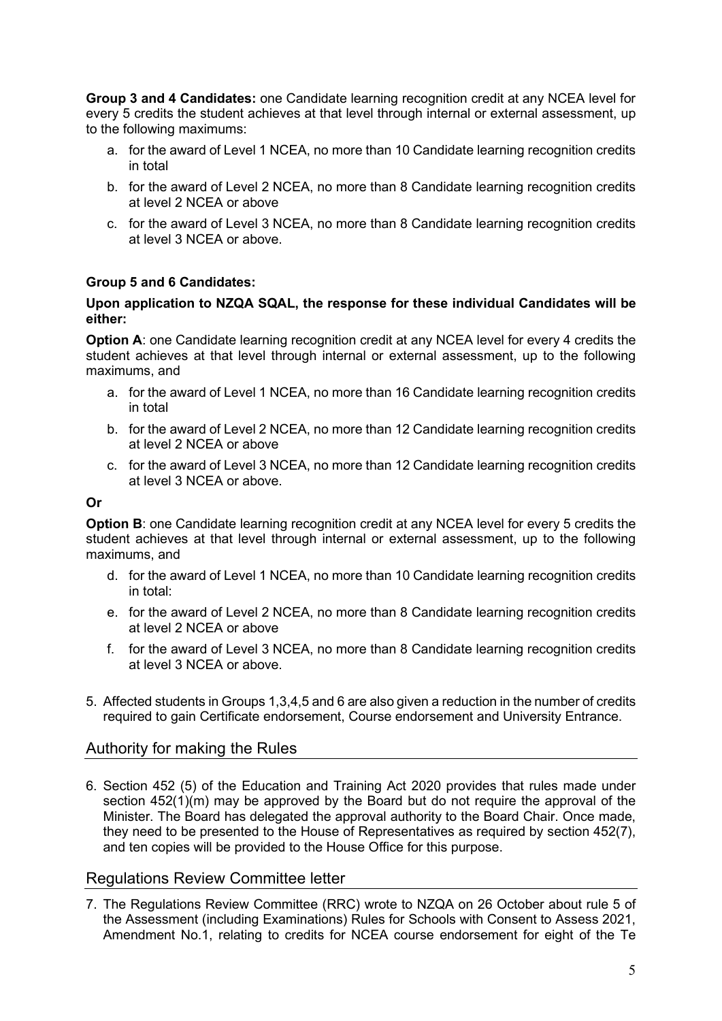**Group 3 and 4 Candidates:** one Candidate learning recognition credit at any NCEA level for every 5 credits the student achieves at that level through internal or external assessment, up to the following maximums:

- a. for the award of Level 1 NCEA, no more than 10 Candidate learning recognition credits in total
- b. for the award of Level 2 NCEA, no more than 8 Candidate learning recognition credits at level 2 NCEA or above
- c. for the award of Level 3 NCEA, no more than 8 Candidate learning recognition credits at level 3 NCEA or above.

#### **Group 5 and 6 Candidates:**

#### **Upon application to NZQA SQAL, the response for these individual Candidates will be either:**

**Option A:** one Candidate learning recognition credit at any NCEA level for every 4 credits the student achieves at that level through internal or external assessment, up to the following maximums, and

- a. for the award of Level 1 NCEA, no more than 16 Candidate learning recognition credits in total
- b. for the award of Level 2 NCEA, no more than 12 Candidate learning recognition credits at level 2 NCEA or above
- c. for the award of Level 3 NCEA, no more than 12 Candidate learning recognition credits at level 3 NCEA or above.

#### **Or**

**Option B**: one Candidate learning recognition credit at any NCEA level for every 5 credits the student achieves at that level through internal or external assessment, up to the following maximums, and

- d. for the award of Level 1 NCEA, no more than 10 Candidate learning recognition credits in total:
- e. for the award of Level 2 NCEA, no more than 8 Candidate learning recognition credits at level 2 NCEA or above
- f. for the award of Level 3 NCEA, no more than 8 Candidate learning recognition credits at level 3 NCEA or above.
- 5. Affected students in Groups 1,3,4,5 and 6 are also given a reduction in the number of credits required to gain Certificate endorsement, Course endorsement and University Entrance.

#### Authority for making the Rules

6. Section 452 (5) of the Education and Training Act 2020 provides that rules made under section 452(1)(m) may be approved by the Board but do not require the approval of the Minister. The Board has delegated the approval authority to the Board Chair. Once made, they need to be presented to the House of Representatives as required by section 452(7), and ten copies will be provided to the House Office for this purpose.

#### Regulations Review Committee letter

7. The Regulations Review Committee (RRC) wrote to NZQA on 26 October about rule 5 of the Assessment (including Examinations) Rules for Schools with Consent to Assess 2021, Amendment No.1, relating to credits for NCEA course endorsement for eight of the Te